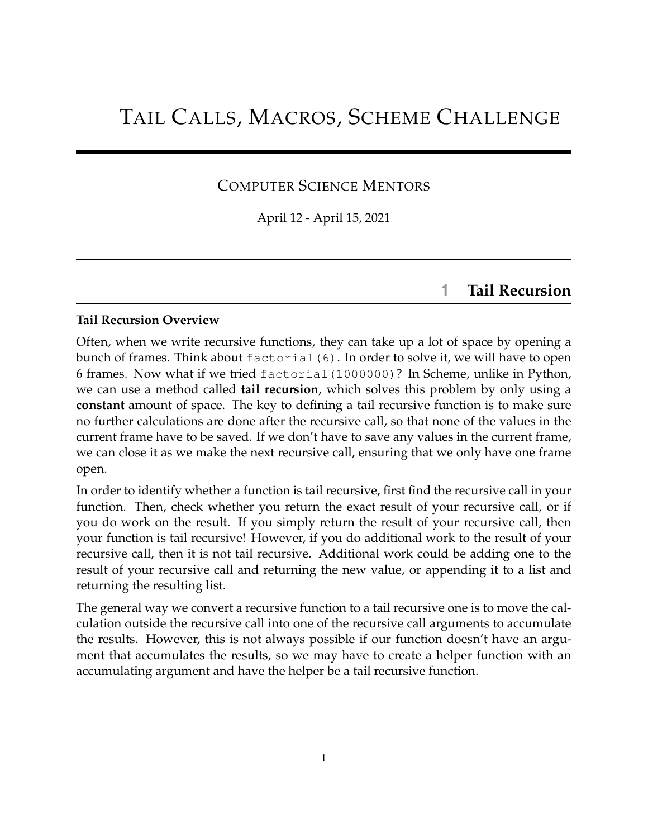# TAIL CALLS, MACROS, SCHEME CHALLENGE

#### COMPUTER SCIENCE MENTORS

April 12 - April 15, 2021

### **1 Tail Recursion**

#### **Tail Recursion Overview**

Often, when we write recursive functions, they can take up a lot of space by opening a bunch of frames. Think about factorial (6). In order to solve it, we will have to open 6 frames. Now what if we tried factorial(1000000)? In Scheme, unlike in Python, we can use a method called **tail recursion**, which solves this problem by only using a **constant** amount of space. The key to defining a tail recursive function is to make sure no further calculations are done after the recursive call, so that none of the values in the current frame have to be saved. If we don't have to save any values in the current frame, we can close it as we make the next recursive call, ensuring that we only have one frame open.

In order to identify whether a function is tail recursive, first find the recursive call in your function. Then, check whether you return the exact result of your recursive call, or if you do work on the result. If you simply return the result of your recursive call, then your function is tail recursive! However, if you do additional work to the result of your recursive call, then it is not tail recursive. Additional work could be adding one to the result of your recursive call and returning the new value, or appending it to a list and returning the resulting list.

The general way we convert a recursive function to a tail recursive one is to move the calculation outside the recursive call into one of the recursive call arguments to accumulate the results. However, this is not always possible if our function doesn't have an argument that accumulates the results, so we may have to create a helper function with an accumulating argument and have the helper be a tail recursive function.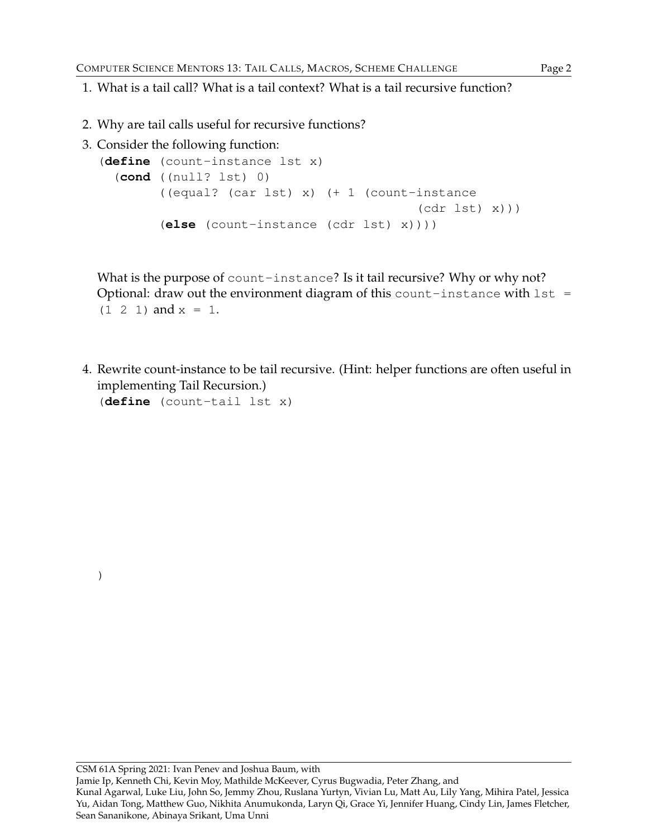- 1. What is a tail call? What is a tail context? What is a tail recursive function?
- 2. Why are tail calls useful for recursive functions?
- 3. Consider the following function:

```
(define (count-instance lst x)
  (cond ((null? lst) 0)
        ((equal? (car lst) x) (+ 1 (count-instance
                                           (cdr lst) x)))
        (else (count-instance (cdr lst) x))))
```
What is the purpose of count-instance? Is it tail recursive? Why or why not? Optional: draw out the environment diagram of this count-instance with  $1st =$  $(1 \ 2 \ 1)$  and  $x = 1$ .

4. Rewrite count-instance to be tail recursive. (Hint: helper functions are often useful in implementing Tail Recursion.)

(**define** (count-tail lst x)

)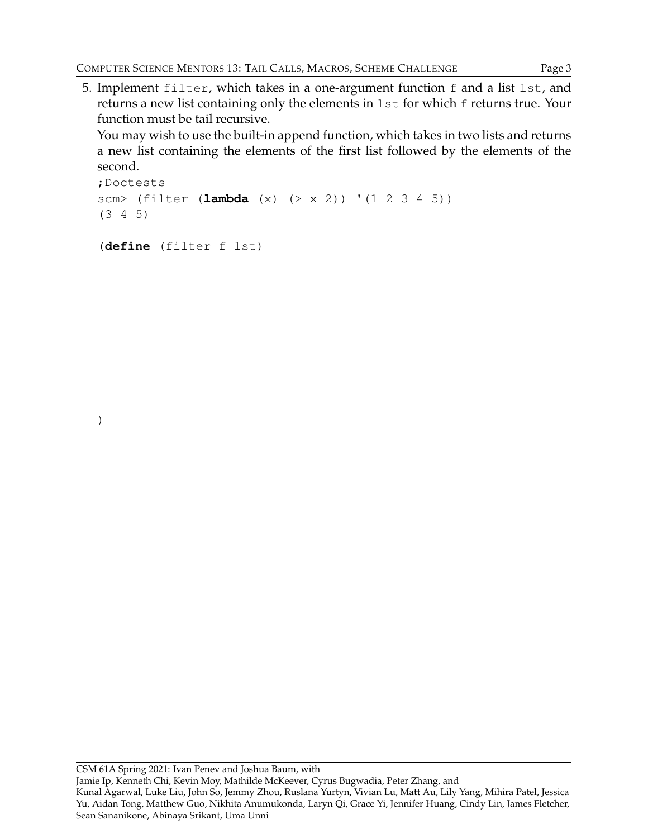5. Implement filter, which takes in a one-argument function f and a list lst, and returns a new list containing only the elements in 1st for which f returns true. Your function must be tail recursive.

You may wish to use the built-in append function, which takes in two lists and returns a new list containing the elements of the first list followed by the elements of the second.

```
;Doctests
scm> (filter (lambda (x) (> x 2)) '(1 2 3 4 5))
(3 4 5)
```

```
(define (filter f lst)
```
)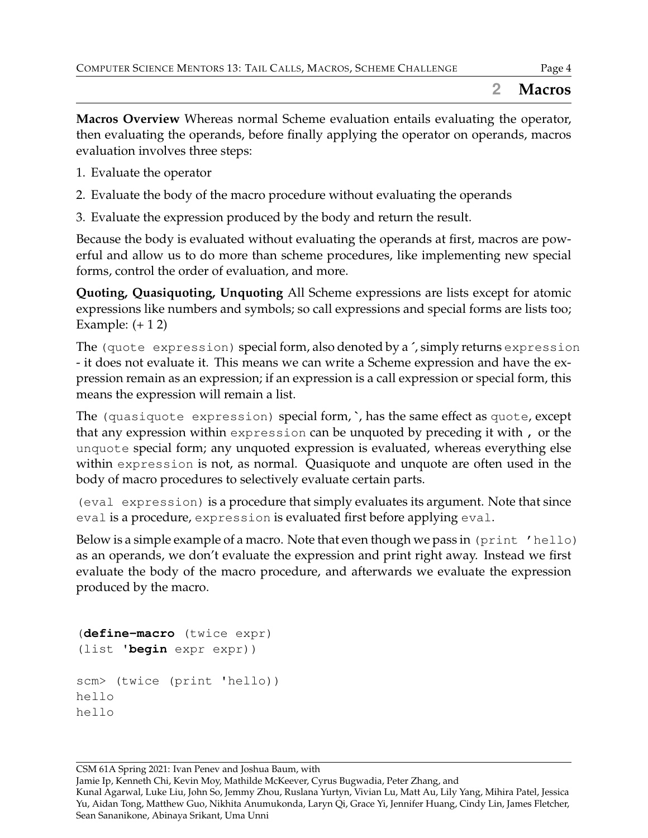**Macros Overview** Whereas normal Scheme evaluation entails evaluating the operator, then evaluating the operands, before finally applying the operator on operands, macros evaluation involves three steps:

- 1. Evaluate the operator
- 2. Evaluate the body of the macro procedure without evaluating the operands
- 3. Evaluate the expression produced by the body and return the result.

Because the body is evaluated without evaluating the operands at first, macros are powerful and allow us to do more than scheme procedures, like implementing new special forms, control the order of evaluation, and more.

**Quoting, Quasiquoting, Unquoting** All Scheme expressions are lists except for atomic expressions like numbers and symbols; so call expressions and special forms are lists too; Example:  $(+ 12)$ 

The (quote expression) special form, also denoted by a **´**, simply returns expression - it does not evaluate it. This means we can write a Scheme expression and have the expression remain as an expression; if an expression is a call expression or special form, this means the expression will remain a list.

The (quasiquote expression) special form, **`**, has the same effect as quote, except that any expression within expression can be unquoted by preceding it with , or the unquote special form; any unquoted expression is evaluated, whereas everything else within expression is not, as normal. Quasiquote and unquote are often used in the body of macro procedures to selectively evaluate certain parts.

(eval expression) is a procedure that simply evaluates its argument. Note that since eval is a procedure, expression is evaluated first before applying eval.

Below is a simple example of a macro. Note that even though we pass in (print 'hello) as an operands, we don't evaluate the expression and print right away. Instead we first evaluate the body of the macro procedure, and afterwards we evaluate the expression produced by the macro.

```
(define-macro (twice expr)
(list 'begin expr expr))
scm> (twice (print 'hello))
hello
hello
```
CSM 61A Spring 2021: Ivan Penev and Joshua Baum, with Jamie Ip, Kenneth Chi, Kevin Moy, Mathilde McKeever, Cyrus Bugwadia, Peter Zhang, and Kunal Agarwal, Luke Liu, John So, Jemmy Zhou, Ruslana Yurtyn, Vivian Lu, Matt Au, Lily Yang, Mihira Patel, Jessica Yu, Aidan Tong, Matthew Guo, Nikhita Anumukonda, Laryn Qi, Grace Yi, Jennifer Huang, Cindy Lin, James Fletcher, Sean Sananikone, Abinaya Srikant, Uma Unni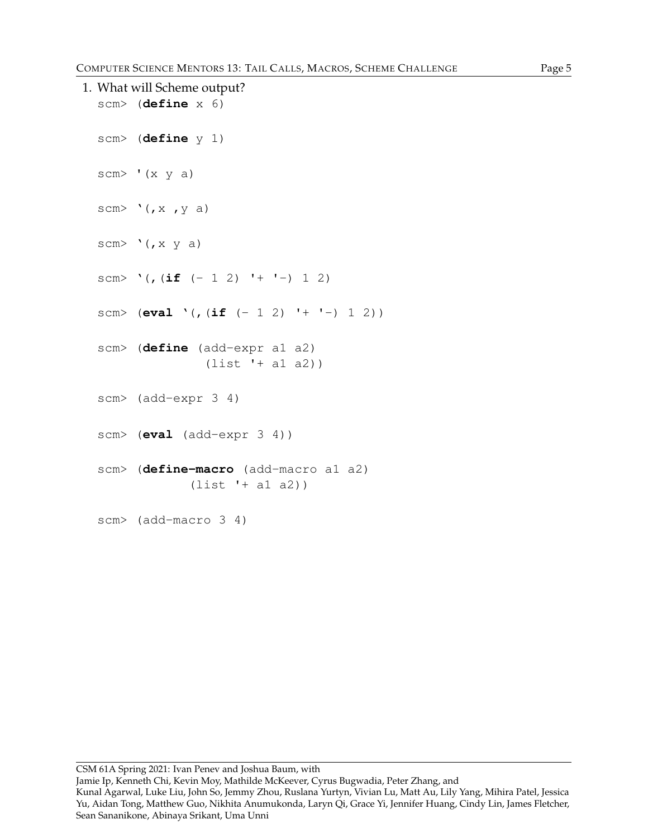```
1. What will Scheme output?
  scm> (define x 6)
  scm> (define y 1)
  scm> '(x \ y \ a)scm> '(,x, y, a)scm> '(,x \ y a)scm> '(, (if (-1 2) ' + ' -) 1 2)scm> (eval '(,(if (- 1 2) '+ '-) 1 2))
  scm> (define (add-expr a1 a2)
                 (list '+ a1 a2))
  scm> (add-expr 3 4)
  scm> (eval (add-expr 3 4))
  scm> (define-macro (add-macro a1 a2)
               (list '+ a1 a2))
  scm> (add-macro 3 4)
```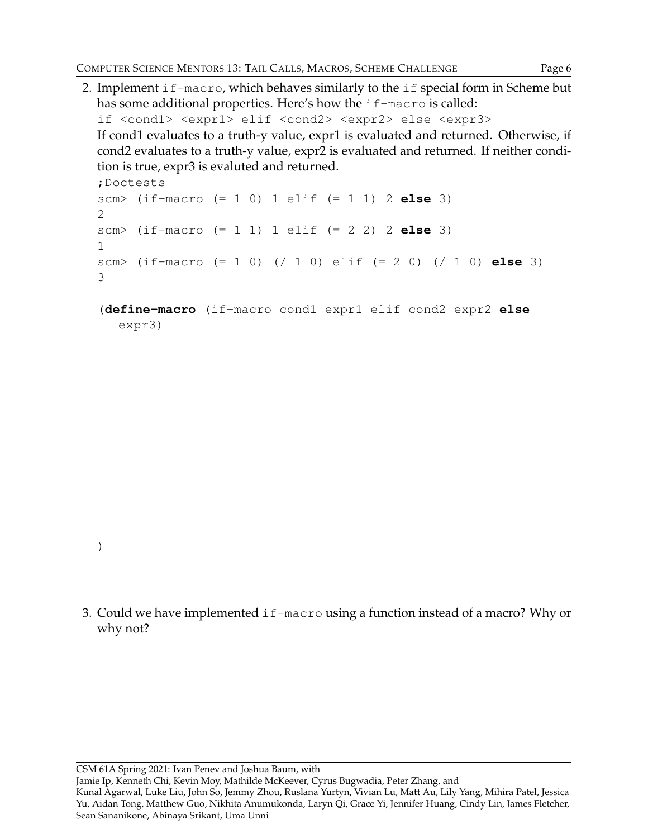2. Implement if-macro, which behaves similarly to the if special form in Scheme but has some additional properties. Here's how the if-macro is called:

if <cond1> <expr1> elif <cond2> <expr2> else <expr3> If cond1 evaluates to a truth-y value, expr1 is evaluated and returned. Otherwise, if cond2 evaluates to a truth-y value, expr2 is evaluated and returned. If neither condition is true, expr3 is evaluted and returned.

```
;Doctests
scm> (if-macro (= 1 0) 1 elif (= 1 1) 2 else 3)
2
scm> (if-macro (= 1 1) 1 elif (= 2 2) 2 else 3)
1
scm> (if-macro (= 1 0) (/ 1 0) elif (= 2 0) (/ 1 0) else 3)
3
```
(**define-macro** (if-macro cond1 expr1 elif cond2 expr2 **else** expr3)

- )
- 3. Could we have implemented if-macro using a function instead of a macro? Why or why not?

CSM 61A Spring 2021: Ivan Penev and Joshua Baum, with Jamie Ip, Kenneth Chi, Kevin Moy, Mathilde McKeever, Cyrus Bugwadia, Peter Zhang, and Kunal Agarwal, Luke Liu, John So, Jemmy Zhou, Ruslana Yurtyn, Vivian Lu, Matt Au, Lily Yang, Mihira Patel, Jessica Yu, Aidan Tong, Matthew Guo, Nikhita Anumukonda, Laryn Qi, Grace Yi, Jennifer Huang, Cindy Lin, James Fletcher, Sean Sananikone, Abinaya Srikant, Uma Unni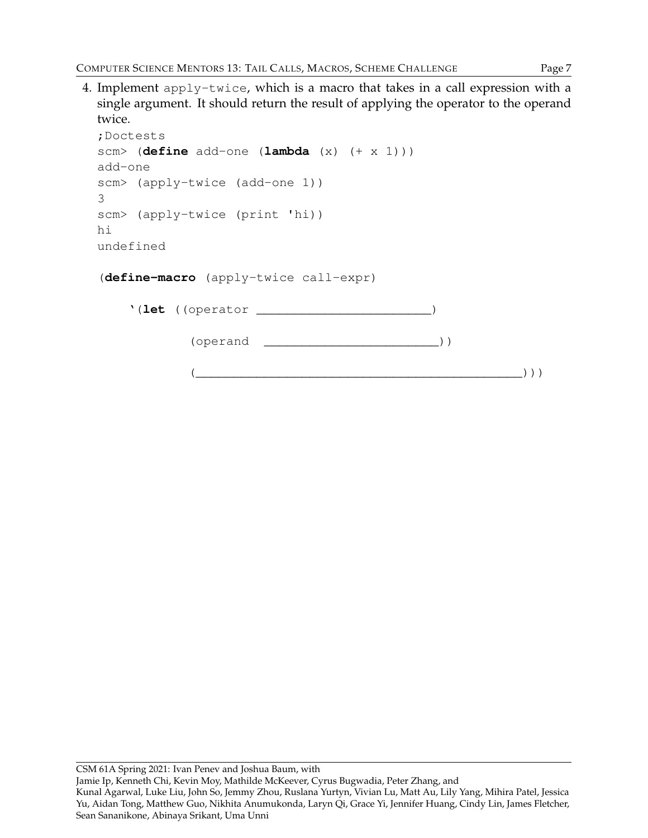4. Implement apply-twice, which is a macro that takes in a call expression with a single argument. It should return the result of applying the operator to the operand twice.

```
;Doctests
scm> (define add-one (lambda (x) (+ x 1)))
add-one
scm> (apply-twice (add-one 1))
3
scm> (apply-twice (print 'hi))
hi
undefined
```
(**define-macro** (apply-twice call-expr)

|  | '(let (operator) |  |
|--|------------------|--|
|  | (operand         |  |
|  |                  |  |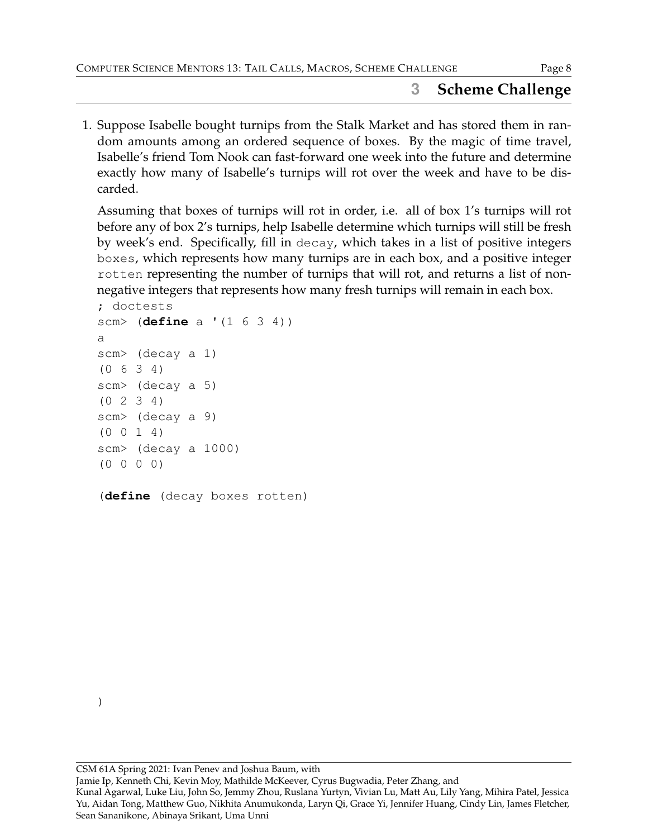## **3 Scheme Challenge**

1. Suppose Isabelle bought turnips from the Stalk Market and has stored them in random amounts among an ordered sequence of boxes. By the magic of time travel, Isabelle's friend Tom Nook can fast-forward one week into the future and determine exactly how many of Isabelle's turnips will rot over the week and have to be discarded.

Assuming that boxes of turnips will rot in order, i.e. all of box 1's turnips will rot before any of box 2's turnips, help Isabelle determine which turnips will still be fresh by week's end. Specifically, fill in decay, which takes in a list of positive integers boxes, which represents how many turnips are in each box, and a positive integer rotten representing the number of turnips that will rot, and returns a list of nonnegative integers that represents how many fresh turnips will remain in each box.

```
; doctests
scm> (define a '(1 6 3 4))
a
scm> (decay a 1)
(0 6 3 4)
scm> (decay a 5)
(0 2 3 4)
scm> (decay a 9)
(0 0 1 4)
scm> (decay a 1000)
(0 0 0 0)
```
(**define** (decay boxes rotten)